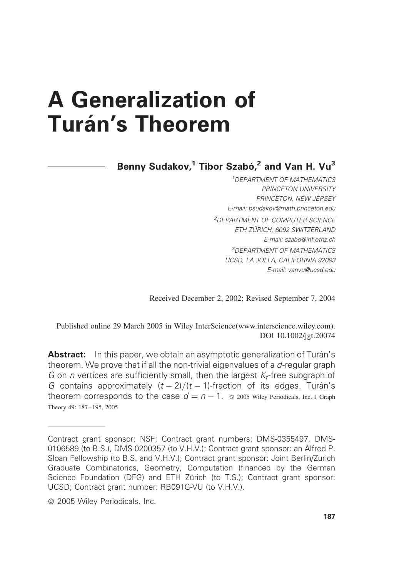# A Generalization of **Turán's Theorem**

Benny Sudakov,<sup>1</sup> Tibor Szabó,<sup>2</sup> and Van H. Vu<sup>3</sup>

1 DEPARTMENT OF MATHEMATICS PRINCETON UNIVERSITY PRINCETON, NEW JERSEY E-mail: bsudakov@math.princeton.edu 2 DEPARTMENT OF COMPUTER SCIENCE ETH ZU¨RICH, 8092 SWITZERLAND E-mail: szabo@inf.ethz.ch 3 DEPARTMENT OF MATHEMATICS UCSD, LA JOLLA, CALIFORNIA 92093 E-mail: vanvu@ucsd.edu

Received December 2, 2002; Revised September 7, 2004

Published online 29 March 2005 in Wiley InterScience(www.interscience.wiley.com). DOI 10.1002/jgt.20074

Abstract: In this paper, we obtain an asymptotic generalization of Turán's theorem. We prove that if all the non-trivial eigenvalues of a d-regular graph G on n vertices are sufficiently small, then the largest  $K_t$ -free subgraph of G contains approximately  $(t - 2)/(t - 1)$ -fraction of its edges. Turán's theorem corresponds to the case  $d = n - 1$ .  $\circ$  2005 Wiley Periodicals, Inc. J Graph Theory 49: 187–195, 2005

——————————————————

Contract grant sponsor: NSF; Contract grant numbers: DMS-0355497, DMS-0106589 (to B.S.), DMS-0200357 (to V.H.V.); Contract grant sponsor: an Alfred P. Sloan Fellowship (to B.S. and V.H.V.); Contract grant sponsor: Joint Berlin/Zurich Graduate Combinatorics, Geometry, Computation (financed by the German Science Foundation (DFG) and ETH Zürich (to T.S.); Contract grant sponsor: UCSD; Contract grant number: RB091G-VU (to V.H.V.).

2005 Wiley Periodicals, Inc.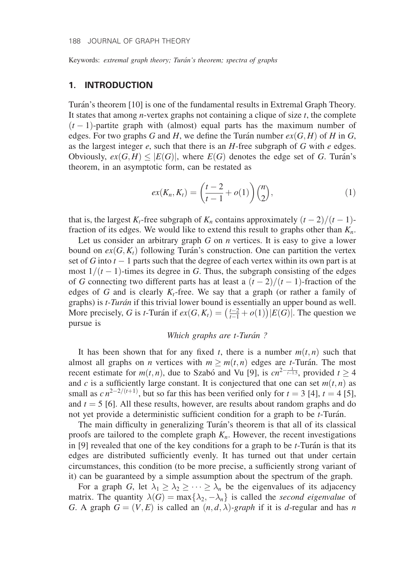Keywords: extremal graph theory; Turán's theorem; spectra of graphs

# 1. INTRODUCTION

Turán's theorem [10] is one of the fundamental results in Extremal Graph Theory. It states that among *n*-vertex graphs not containing a clique of size  $t$ , the complete  $(t-1)$ -partite graph with (almost) equal parts has the maximum number of edges. For two graphs G and H, we define the Turán number  $ex(G, H)$  of H in G, as the largest integer  $e$ , such that there is an  $H$ -free subgraph of  $G$  with  $e$  edges. Obviously,  $ex(G, H) \leq |E(G)|$ , where  $E(G)$  denotes the edge set of G. Turán's theorem, in an asymptotic form, can be restated as

$$
ex(K_n, K_t) = \left(\frac{t-2}{t-1} + o(1)\right) {n \choose 2}, \tag{1}
$$

that is, the largest  $K_t$ -free subgraph of  $K_n$  contains approximately  $(t-2)/(t-1)$ fraction of its edges. We would like to extend this result to graphs other than  $K_n$ .

Let us consider an arbitrary graph  $G$  on  $n$  vertices. It is easy to give a lower bound on  $ex(G, K_t)$  following Turán's construction. One can partition the vertex set of G into  $t - 1$  parts such that the degree of each vertex within its own part is at most  $1/(t-1)$ -times its degree in G. Thus, the subgraph consisting of the edges of G connecting two different parts has at least a  $(t-2)/(t-1)$ -fraction of the edges of G and is clearly  $K_t$ -free. We say that a graph (or rather a family of graphs) is t-Turán if this trivial lower bound is essentially an upper bound as well. More precisely, G is t-Turán if  $ex(G, K_t) = (\frac{t-2}{t-1} + o(1)) |E(G)|$ . The question we pursue is

#### Which graphs are t-Turán?

It has been shown that for any fixed t, there is a number  $m(t, n)$  such that almost all graphs on *n* vertices with  $m \ge m(t, n)$  edges are t-Turán. The most recent estimate for  $m(t, n)$ , due to Szabó and Vu [9], is  $cn^{2-\frac{1}{t-1.5}}$ , provided  $t \ge 4$ and c is a sufficiently large constant. It is conjectured that one can set  $m(t, n)$  as small as  $cn^{2-2/(t+1)}$ , but so far this has been verified only for  $t = 3$  [4],  $t = 4$  [5], and  $t = 5$  [6]. All these results, however, are results about random graphs and do not yet provide a deterministic sufficient condition for a graph to be  $t$ -Turán.

The main difficulty in generalizing Turán's theorem is that all of its classical proofs are tailored to the complete graph  $K_n$ . However, the recent investigations in  $[9]$  revealed that one of the key conditions for a graph to be *t*-Turán is that its edges are distributed sufficiently evenly. It has turned out that under certain circumstances, this condition (to be more precise, a sufficiently strong variant of it) can be guaranteed by a simple assumption about the spectrum of the graph.

For a graph G, let  $\lambda_1 \geq \lambda_2 \geq \cdots \geq \lambda_n$  be the eigenvalues of its adjacency matrix. The quantity  $\lambda(G) = \max\{\lambda_2, -\lambda_n\}$  is called the second eigenvalue of G. A graph  $G = (V, E)$  is called an  $(n, d, \lambda)$ -graph if it is d-regular and has n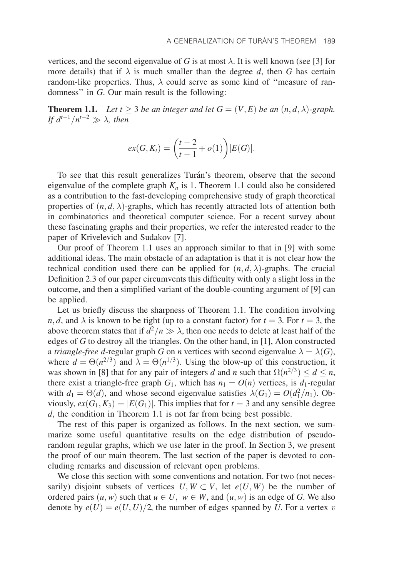vertices, and the second eigenvalue of G is at most  $\lambda$ . It is well known (see [3] for more details) that if  $\lambda$  is much smaller than the degree d, then G has certain random-like properties. Thus,  $\lambda$  could serve as some kind of "measure of randomness'' in G. Our main result is the following:

**Theorem 1.1.** Let  $t \ge 3$  be an integer and let  $G = (V, E)$  be an  $(n, d, \lambda)$ -graph. If  $d^{t-1}/n^{t-2} \gg \lambda$ , then

$$
ex(G, K_t) = \left(\frac{t-2}{t-1} + o(1)\right) |E(G)|.
$$

To see that this result generalizes Turán's theorem, observe that the second eigenvalue of the complete graph  $K_n$  is 1. Theorem 1.1 could also be considered as a contribution to the fast-developing comprehensive study of graph theoretical properties of  $(n, d, \lambda)$ -graphs, which has recently attracted lots of attention both in combinatorics and theoretical computer science. For a recent survey about these fascinating graphs and their properties, we refer the interested reader to the paper of Krivelevich and Sudakov [7].

Our proof of Theorem 1.1 uses an approach similar to that in [9] with some additional ideas. The main obstacle of an adaptation is that it is not clear how the technical condition used there can be applied for  $(n, d, \lambda)$ -graphs. The crucial Definition 2.3 of our paper circumvents this difficulty with only a slight loss in the outcome, and then a simplified variant of the double-counting argument of [9] can be applied.

Let us briefly discuss the sharpness of Theorem 1.1. The condition involving *n*, *d*, and  $\lambda$  is known to be tight (up to a constant factor) for  $t = 3$ . For  $t = 3$ , the above theorem states that if  $d^2/n \gg \lambda$ , then one needs to delete at least half of the edges of G to destroy all the triangles. On the other hand, in [1], Alon constructed a triangle-free d-regular graph G on n vertices with second eigenvalue  $\lambda = \lambda(G)$ , where  $d = \Theta(n^{2/3})$  and  $\lambda = \Theta(n^{1/3})$ . Using the blow-up of this construction, it was shown in [8] that for any pair of integers d and n such that  $\Omega(n^{2/3}) \leq d \leq n$ , there exist a triangle-free graph  $G_1$ , which has  $n_1 = O(n)$  vertices, is  $d_1$ -regular with  $d_1 = \Theta(d)$ , and whose second eigenvalue satisfies  $\lambda(G_1) = O(d_1^2/n_1)$ . Obviously,  $ex(G_1, K_3) = |E(G_1)|$ . This implies that for  $t = 3$  and any sensible degree d, the condition in Theorem 1.1 is not far from being best possible.

The rest of this paper is organized as follows. In the next section, we summarize some useful quantitative results on the edge distribution of pseudorandom regular graphs, which we use later in the proof. In Section 3, we present the proof of our main theorem. The last section of the paper is devoted to concluding remarks and discussion of relevant open problems.

We close this section with some conventions and notation. For two (not necessarily) disjoint subsets of vertices  $U, W \subset V$ , let  $e(U, W)$  be the number of ordered pairs  $(u, w)$  such that  $u \in U$ ,  $w \in W$ , and  $(u, w)$  is an edge of G. We also denote by  $e(U) = e(U, U)/2$ , the number of edges spanned by U. For a vertex v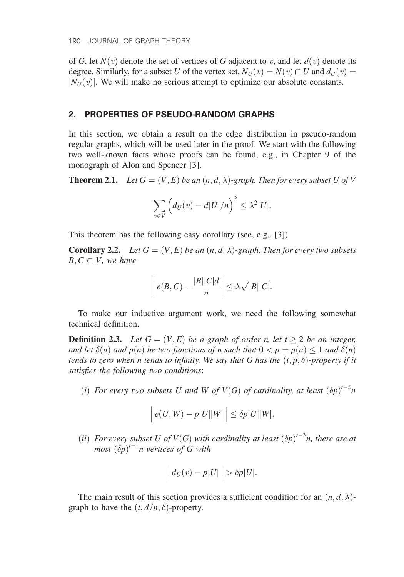of G, let  $N(v)$  denote the set of vertices of G adjacent to v, and let  $d(v)$  denote its degree. Similarly, for a subset U of the vertex set,  $N_U(v) = N(v) \cap U$  and  $d_U(v) =$  $|N_{U}(v)|$ . We will make no serious attempt to optimize our absolute constants.

## 2. PROPERTIES OF PSEUDO-RANDOM GRAPHS

In this section, we obtain a result on the edge distribution in pseudo-random regular graphs, which will be used later in the proof. We start with the following two well-known facts whose proofs can be found, e.g., in Chapter 9 of the monograph of Alon and Spencer [3].

**Theorem 2.1.** Let  $G = (V, E)$  be an  $(n, d, \lambda)$ -graph. Then for every subset U of V

$$
\sum_{v \in V} \left( d_U(v) - d|U|/n \right)^2 \leq \lambda^2 |U|.
$$

This theorem has the following easy corollary (see, e.g., [3]).

**Corollary 2.2.** Let  $G = (V, E)$  be an  $(n, d, \lambda)$ -graph. Then for every two subsets  $B, C \subset V$ , we have

$$
\left| e(B, C) - \frac{|B||C|d}{n} \right| \leq \lambda \sqrt{|B||C|}.
$$

To make our inductive argument work, we need the following somewhat technical definition.

**Definition 2.3.** Let  $G = (V, E)$  be a graph of order n, let  $t \ge 2$  be an integer, and let  $\delta(n)$  and  $p(n)$  be two functions of n such that  $0 < p = p(n) \leq 1$  and  $\delta(n)$ tends to zero when n tends to infinity. We say that G has the  $(t, p, \delta)$ -property if it satisfies the following two conditions:

(i) For every two subsets U and W of  $V(G)$  of cardinality, at least  $(\delta p)^{t-2}n$ 

$$
\left| e(U, W) - p|U||W| \right| \leq \delta p|U||W|.
$$

(ii) For every subset U of  $V(G)$  with cardinality at least  $(\delta p)^{t-3}n$ , there are at most  $(\delta p)^{t-1}$ n vertices of G with

$$
\left| d_U(v) - p|U| \right| > \delta p|U|.
$$

The main result of this section provides a sufficient condition for an  $(n, d, \lambda)$ graph to have the  $(t, d/n, \delta)$ -property.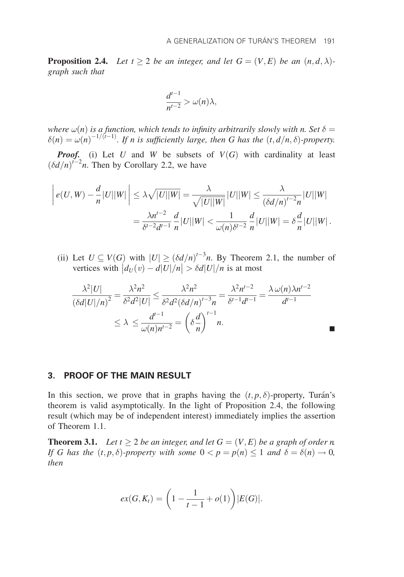**Proposition 2.4.** Let  $t \geq 2$  be an integer, and let  $G = (V, E)$  be an  $(n, d, \lambda)$ graph such that

$$
\frac{d^{t-1}}{n^{t-2}} > \omega(n)\lambda,
$$

where  $\omega(n)$  is a function, which tends to infinity arbitrarily slowly with n. Set  $\delta=$  $\delta(n) = \omega(n)^{-1/(t-1)}$ . If n is sufficiently large, then G has the  $(t, d/n, \delta)$ -property.

**Proof.** (i) Let U and W be subsets of  $V(G)$  with cardinality at least  $(\delta d/n)^{t-2}$ n. Then by Corollary 2.2, we have

$$
\left| e(U, W) - \frac{d}{n} |U||W| \right| \leq \lambda \sqrt{|U||W|} = \frac{\lambda}{\sqrt{|U||W|}} |U||W| \leq \frac{\lambda}{(\delta d/n)^{t-2} n} |U||W| = \frac{\lambda n^{t-2}}{\delta^{t-2} d^{t-1}} \frac{d}{n} |U||W| < \frac{1}{\omega(n) \delta^{t-2}} \frac{d}{n} |U||W| = \delta \frac{d}{n} |U||W|.
$$

(ii) Let  $U \subseteq V(G)$  with  $|U| \geq (\delta d/n)^{t-3}n$ . By Theorem 2.1, the number of vertices with  $|d_U(v) - d|U|/n| > \delta d|U|/n$  is at most

$$
\frac{\lambda^2|U|}{(\delta d|U|/n)^2} = \frac{\lambda^2 n^2}{\delta^2 d^2|U|} \le \frac{\lambda^2 n^2}{\delta^2 d^2 (\delta d/n)^{t-3} n} = \frac{\lambda^2 n^{t-2}}{\delta^{t-1} d^{t-1}} = \frac{\lambda \omega(n)\lambda n^{t-2}}{d^{t-1}}
$$

$$
\le \lambda \le \frac{d^{t-1}}{\omega(n)n^{t-2}} = \left(\delta \frac{d}{n}\right)^{t-1} n.
$$

## 3. PROOF OF THE MAIN RESULT

In this section, we prove that in graphs having the  $(t, p, \delta)$ -property, Turán's theorem is valid asymptotically. In the light of Proposition 2.4, the following result (which may be of independent interest) immediately implies the assertion of Theorem 1.1.

**Theorem 3.1.** Let  $t \geq 2$  be an integer, and let  $G = (V, E)$  be a graph of order n. If G has the  $(t, p, \delta)$ -property with some  $0 < p = p(n) \leq 1$  and  $\delta = \delta(n) \to 0$ , then

$$
ex(G, K_t) = \left(1 - \frac{1}{t-1} + o(1)\right)|E(G)|.
$$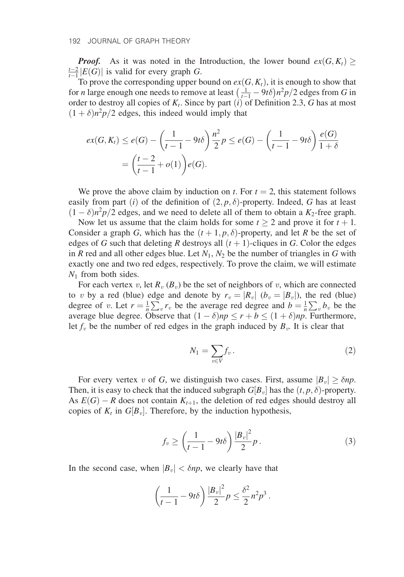**Proof.** As it was noted in the Introduction, the lower bound  $ex(G, K_t) \ge$  $\frac{t-2}{t-1}$   $|E(G)|$  is valid for every graph G.

To prove the corresponding upper bound on  $ex(G, K_t)$ , it is enough to show that For *n* large enough one needs to remove at least  $\left(\frac{1}{t-1} - 9t\delta\right)n^2p/2$  edges from *G* in order to destroy all copies of  $K_t$ . Since by part (i) of Definition 2.3, G has at most  $(1 + \delta)n^2p/2$  edges, this indeed would imply that

$$
ex(G, K_t) \le e(G) - \left(\frac{1}{t-1} - 9t\delta\right) \frac{n^2}{2} p \le e(G) - \left(\frac{1}{t-1} - 9t\delta\right) \frac{e(G)}{1+\delta}
$$
  
=  $\left(\frac{t-2}{t-1} + o(1)\right) e(G).$ 

We prove the above claim by induction on t. For  $t = 2$ , this statement follows easily from part (*i*) of the definition of  $(2, p, \delta)$ -property. Indeed, G has at least  $(1 - \delta)n^2p/2$  edges, and we need to delete all of them to obtain a  $K_2$ -free graph.

Now let us assume that the claim holds for some  $t \geq 2$  and prove it for  $t + 1$ . Consider a graph G, which has the  $(t + 1, p, \delta)$ -property, and let R be the set of edges of G such that deleting R destroys all  $(t + 1)$ -cliques in G. Color the edges in R red and all other edges blue. Let  $N_1$ ,  $N_2$  be the number of triangles in G with exactly one and two red edges, respectively. To prove the claim, we will estimate  $N_1$  from both sides.

For each vertex v, let  $R_v (B_v)$  be the set of neighbors of v, which are connected to v by a red (blue) edge and denote by  $r_v = |R_v|$  ( $b_v = |B_v|$ ), the red (blue) degree of v. Let  $r = \frac{1}{n}$  $\sum_{v} r_{v}$  be the average red degree and  $b = \frac{1}{n}$  $\sum_{v} b_v$  be the average blue degree. Observe that  $(1 - \delta)np \le r + b \le (1 + \delta)np$ . Furthermore, let  $f_v$  be the number of red edges in the graph induced by  $B_v$ . It is clear that

$$
N_1 = \sum_{v \in V} f_v \,.
$$

For every vertex v of G, we distinguish two cases. First, assume  $|B_v| \ge \delta np$ . Then, it is easy to check that the induced subgraph  $G[B_v]$  has the  $(t, p, \delta)$ -property. As  $E(G) - R$  does not contain  $K_{t+1}$ , the deletion of red edges should destroy all copies of  $K_t$  in  $G[B_v]$ . Therefore, by the induction hypothesis,

$$
f_v \ge \left(\frac{1}{t-1} - 9t\delta\right) \frac{|B_v|^2}{2} p. \tag{3}
$$

In the second case, when  $|B_v| < \delta np$ , we clearly have that

$$
\left(\frac{1}{t-1} - 9t\delta\right) \frac{|B_v|^2}{2} p \le \frac{\delta^2}{2} n^2 p^3.
$$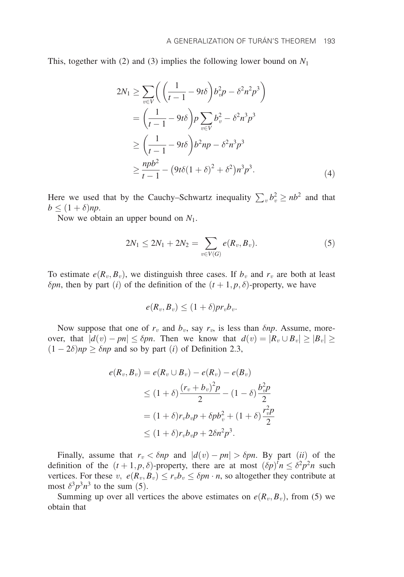This, together with (2) and (3) implies the following lower bound on  $N_1$ 

$$
2N_1 \ge \sum_{v \in V} \left( \left( \frac{1}{t-1} - 9t\delta \right) b_v^2 p - \delta^2 n^2 p^3 \right)
$$
  
=  $\left( \frac{1}{t-1} - 9t\delta \right) p \sum_{v \in V} b_v^2 - \delta^2 n^3 p^3$   

$$
\ge \left( \frac{1}{t-1} - 9t\delta \right) b^2 np - \delta^2 n^3 p^3
$$
  

$$
\ge \frac{npb^2}{t-1} - (9t\delta(1+\delta)^2 + \delta^2) n^3 p^3.
$$
 (4)

Here we used that by the Cauchy–Schwartz inequality  $\sum_{v} b_v^2 \ge nb^2$  and that  $b \leq (1+\delta)np.$ 

Now we obtain an upper bound on  $N_1$ .

$$
2N_1 \le 2N_1 + 2N_2 = \sum_{v \in V(G)} e(R_v, B_v).
$$
 (5)

To estimate  $e(R_v, B_v)$ , we distinguish three cases. If  $b_v$  and  $r_v$  are both at least  $\delta pn$ , then by part (i) of the definition of the  $(t+1, p, \delta)$ -property, we have

$$
e(R_v, B_v) \le (1+\delta)pr_vb_v.
$$

Now suppose that one of  $r_v$  and  $b_v$ , say  $r_v$ , is less than  $\delta np$ . Assume, moreover, that  $|d(v) - pn| \leq \delta pn$ . Then we know that  $d(v) = |R_v \cup B_v| \geq |B_v| \geq$  $(1 - 2\delta)np \ge \delta np$  and so by part *(i)* of Definition 2.3,

$$
e(R_v, B_v) = e(R_v \cup B_v) - e(R_v) - e(B_v)
$$
  
\n
$$
\leq (1 + \delta) \frac{(r_v + b_v)^2 p}{2} - (1 - \delta) \frac{b_v^2 p}{2}
$$
  
\n
$$
= (1 + \delta) r_v b_v p + \delta p b_v^2 + (1 + \delta) \frac{r_v^2 p}{2}
$$
  
\n
$$
\leq (1 + \delta) r_v b_v p + 2\delta n^2 p^3.
$$

Finally, assume that  $r_v < \delta np$  and  $|d(v) - pn| > \delta pn$ . By part *(ii)* of the definition of the  $(t+1, p, \delta)$ -property, there are at most  $(\delta p)^{t} n \leq \delta^{2} p^{2} n$  such vertices. For these  $v, e(R_v, B_v) \le r_v b_v \le \delta pn \cdot n$ , so altogether they contribute at most  $\delta^3 p^3 n^3$  to the sum (5).

Summing up over all vertices the above estimates on  $e(R_v, B_v)$ , from (5) we obtain that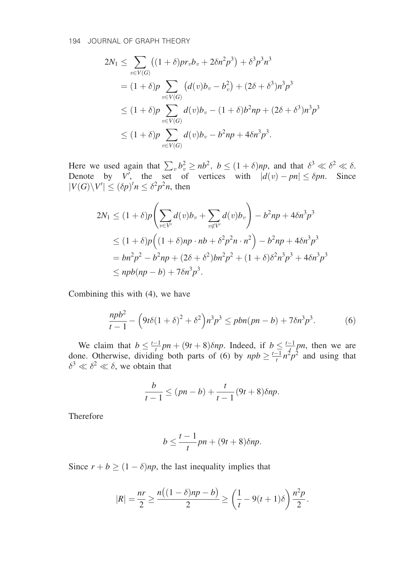$$
2N_1 \leq \sum_{v \in V(G)} \left( (1+\delta)pr_v b_v + 2\delta n^2 p^3 \right) + \delta^3 p^3 n^3
$$
  
=  $(1+\delta)p \sum_{v \in V(G)} \left( d(v) b_v - b_v^2 \right) + (2\delta + \delta^3) n^3 p^3$   
 $\leq (1+\delta)p \sum_{v \in V(G)} d(v) b_v - (1+\delta) b^2 np + (2\delta + \delta^3) n^3 p^3$   
 $\leq (1+\delta)p \sum_{v \in V(G)} d(v) b_v - b^2 np + 4\delta n^3 p^3.$ 

Here we used again that  $\sum_{v} b_v^2 \ge nb^2$ ,  $b \le (1 + \delta)np$ , and that  $\delta^3 \ll \delta^2 \ll \delta$ . Denote by V', the set of vertices with  $|d(v) - pn| \leq \delta pn$ . Since  $|V(G)\backslash V'|\leq (\delta p)^t n \leq \delta^2 p^2 n$ , then

$$
2N_1 \le (1+\delta)p\left(\sum_{v\in V'} d(v)b_v + \sum_{v\notin V'} d(v)b_v\right) - b^2np + 4\delta n^3p^3
$$
  
\n
$$
\le (1+\delta)p\left((1+\delta)np \cdot nb + \delta^2p^2n \cdot n^2\right) - b^2np + 4\delta n^3p^3
$$
  
\n
$$
= bn^2p^2 - b^2np + (2\delta + \delta^2)bn^2p^2 + (1+\delta)\delta^2n^3p^3 + 4\delta n^3p^3
$$
  
\n
$$
\le npb(np - b) + 7\delta n^3p^3.
$$

Combining this with (4), we have

$$
\frac{npb^2}{t-1} - \left(9t\delta(1+\delta)^2 + \delta^2\right)n^3p^3 \le pbn(pn-b) + 7\delta n^3p^3. \tag{6}
$$

We claim that  $b \leq \frac{t-1}{t}pn + (9t+8)\delta np$ . Indeed, if  $b \leq \frac{t-1}{t}pn$ , then we are done. Otherwise, dividing both parts of (6) by  $npb \geq \frac{t-1}{t}n^2p^2$  and using that  $\delta^3 \ll \delta^2 \ll \delta$ , we obtain that

$$
\frac{b}{t-1} \le (pn - b) + \frac{t}{t-1} (9t+8) \delta np.
$$

Therefore

$$
b \le \frac{t-1}{t}pn + (9t+8)\delta np.
$$

Since  $r + b \ge (1 - \delta)np$ , the last inequality implies that

$$
|R| = \frac{nr}{2} \ge \frac{n((1 - \delta)np - b)}{2} \ge \left(\frac{1}{t} - 9(t+1)\delta\right) \frac{n^2 p}{2}.
$$